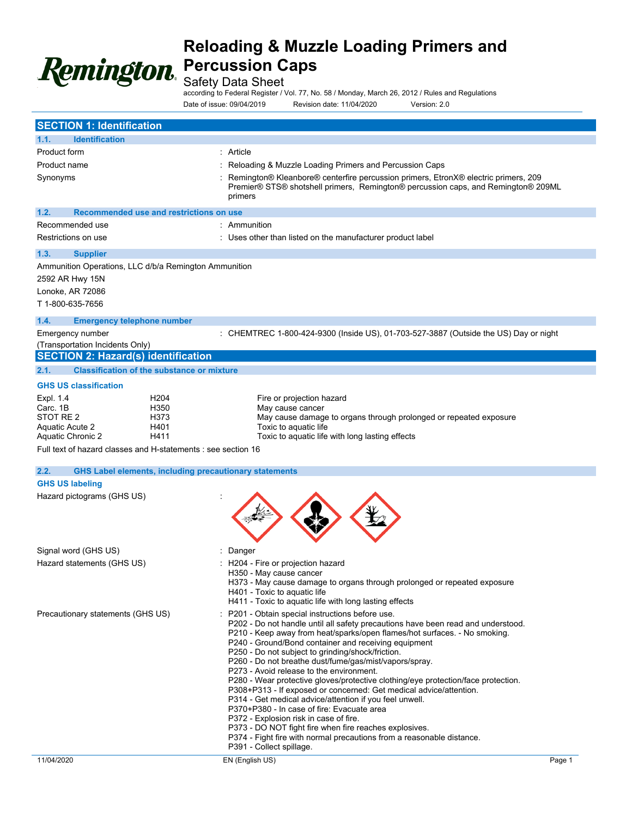

Safety Data Sheet

according to Federal Register / Vol. 77, No. 58 / Monday, March 26, 2012 / Rules and Regulations Date of issue: 09/04/2019 Revision date: 11/04/2020 Version: 2.0

| <b>SECTION 1: Identification</b>                                                                                                                                                                |                                                                                                                                                                                                                                                                                                                                                                                                                                                                                                                                                                                                                                                                                                                                                                                                                                                                                                                 |
|-------------------------------------------------------------------------------------------------------------------------------------------------------------------------------------------------|-----------------------------------------------------------------------------------------------------------------------------------------------------------------------------------------------------------------------------------------------------------------------------------------------------------------------------------------------------------------------------------------------------------------------------------------------------------------------------------------------------------------------------------------------------------------------------------------------------------------------------------------------------------------------------------------------------------------------------------------------------------------------------------------------------------------------------------------------------------------------------------------------------------------|
| <b>Identification</b><br>1.1.                                                                                                                                                                   |                                                                                                                                                                                                                                                                                                                                                                                                                                                                                                                                                                                                                                                                                                                                                                                                                                                                                                                 |
| Product form<br>Product name<br>Synonyms                                                                                                                                                        | : Article<br>Reloading & Muzzle Loading Primers and Percussion Caps<br>Remington® Kleanbore® centerfire percussion primers, EtronX® electric primers, 209<br>Premier® STS® shotshell primers, Remington® percussion caps, and Remington® 209ML<br>primers                                                                                                                                                                                                                                                                                                                                                                                                                                                                                                                                                                                                                                                       |
| 1.2.<br>Recommended use and restrictions on use                                                                                                                                                 |                                                                                                                                                                                                                                                                                                                                                                                                                                                                                                                                                                                                                                                                                                                                                                                                                                                                                                                 |
| Recommended use<br>Restrictions on use                                                                                                                                                          | : Ammunition<br>: Uses other than listed on the manufacturer product label                                                                                                                                                                                                                                                                                                                                                                                                                                                                                                                                                                                                                                                                                                                                                                                                                                      |
| 1.3.<br><b>Supplier</b><br>Ammunition Operations, LLC d/b/a Remington Ammunition<br>2592 AR Hwy 15N<br>Lonoke, AR 72086<br>T 1-800-635-7656                                                     |                                                                                                                                                                                                                                                                                                                                                                                                                                                                                                                                                                                                                                                                                                                                                                                                                                                                                                                 |
| 1.4.<br><b>Emergency telephone number</b><br>Emergency number<br>(Transportation Incidents Only)<br><b>SECTION 2: Hazard(s) identification</b>                                                  | : CHEMTREC 1-800-424-9300 (Inside US), 01-703-527-3887 (Outside the US) Day or night                                                                                                                                                                                                                                                                                                                                                                                                                                                                                                                                                                                                                                                                                                                                                                                                                            |
| <b>Classification of the substance or mixture</b><br>2.1.                                                                                                                                       |                                                                                                                                                                                                                                                                                                                                                                                                                                                                                                                                                                                                                                                                                                                                                                                                                                                                                                                 |
| <b>GHS US classification</b>                                                                                                                                                                    |                                                                                                                                                                                                                                                                                                                                                                                                                                                                                                                                                                                                                                                                                                                                                                                                                                                                                                                 |
| Expl. 1.4<br>H <sub>204</sub><br>H350<br>Carc. 1B<br>STOT RE 2<br>H373<br>Aquatic Acute 2<br>H401<br>Aquatic Chronic 2<br>H411<br>Full text of hazard classes and H-statements : see section 16 | Fire or projection hazard<br>May cause cancer<br>May cause damage to organs through prolonged or repeated exposure<br>Toxic to aquatic life<br>Toxic to aquatic life with long lasting effects                                                                                                                                                                                                                                                                                                                                                                                                                                                                                                                                                                                                                                                                                                                  |
| 2.2.                                                                                                                                                                                            | <b>GHS Label elements, including precautionary statements</b>                                                                                                                                                                                                                                                                                                                                                                                                                                                                                                                                                                                                                                                                                                                                                                                                                                                   |
| <b>GHS US labeling</b>                                                                                                                                                                          |                                                                                                                                                                                                                                                                                                                                                                                                                                                                                                                                                                                                                                                                                                                                                                                                                                                                                                                 |
| Hazard pictograms (GHS US)                                                                                                                                                                      |                                                                                                                                                                                                                                                                                                                                                                                                                                                                                                                                                                                                                                                                                                                                                                                                                                                                                                                 |
| Signal word (GHS US)                                                                                                                                                                            | Danger                                                                                                                                                                                                                                                                                                                                                                                                                                                                                                                                                                                                                                                                                                                                                                                                                                                                                                          |
| Hazard statements (GHS US)                                                                                                                                                                      | : H204 - Fire or projection hazard<br>H350 - May cause cancer<br>H373 - May cause damage to organs through prolonged or repeated exposure<br>H401 - Toxic to aquatic life<br>H411 - Toxic to aquatic life with long lasting effects                                                                                                                                                                                                                                                                                                                                                                                                                                                                                                                                                                                                                                                                             |
| Precautionary statements (GHS US)                                                                                                                                                               | P201 - Obtain special instructions before use.<br>P202 - Do not handle until all safety precautions have been read and understood.<br>P210 - Keep away from heat/sparks/open flames/hot surfaces. - No smoking.<br>P240 - Ground/Bond container and receiving equipment<br>P250 - Do not subject to grinding/shock/friction.<br>P260 - Do not breathe dust/fume/gas/mist/vapors/spray.<br>P273 - Avoid release to the environment.<br>P280 - Wear protective gloves/protective clothing/eye protection/face protection.<br>P308+P313 - If exposed or concerned: Get medical advice/attention.<br>P314 - Get medical advice/attention if you feel unwell.<br>P370+P380 - In case of fire: Evacuate area<br>P372 - Explosion risk in case of fire.<br>P373 - DO NOT fight fire when fire reaches explosives.<br>P374 - Fight fire with normal precautions from a reasonable distance.<br>P391 - Collect spillage. |
| 11/04/2020                                                                                                                                                                                      | EN (English US)<br>Page 1                                                                                                                                                                                                                                                                                                                                                                                                                                                                                                                                                                                                                                                                                                                                                                                                                                                                                       |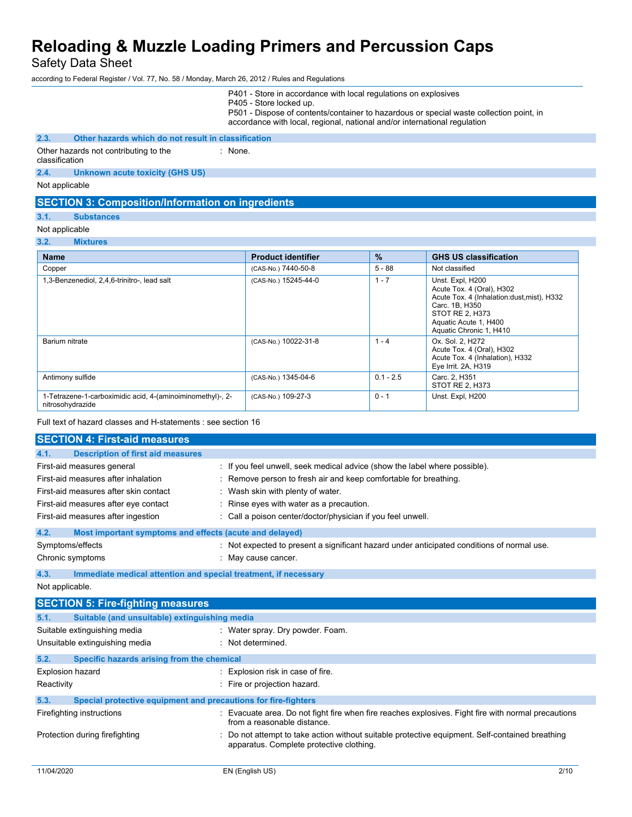Safety Data Sheet

according to Federal Register / Vol. 77, No. 58 / Monday, March 26, 2012 / Rules and Regulations

|                                                                                                                                                                 | P401 - Store in accordance with local regulations on explosives<br>P405 - Store locked up.<br>P501 - Dispose of contents/container to hazardous or special waste collection point, in<br>accordance with local, regional, national and/or international regulation |             |                                                                                                                                                                                       |
|-----------------------------------------------------------------------------------------------------------------------------------------------------------------|--------------------------------------------------------------------------------------------------------------------------------------------------------------------------------------------------------------------------------------------------------------------|-------------|---------------------------------------------------------------------------------------------------------------------------------------------------------------------------------------|
| 2.3.<br>Other hazards which do not result in classification                                                                                                     |                                                                                                                                                                                                                                                                    |             |                                                                                                                                                                                       |
| Other hazards not contributing to the<br>classification                                                                                                         | : None                                                                                                                                                                                                                                                             |             |                                                                                                                                                                                       |
| 2.4.<br><b>Unknown acute toxicity (GHS US)</b>                                                                                                                  |                                                                                                                                                                                                                                                                    |             |                                                                                                                                                                                       |
| Not applicable                                                                                                                                                  |                                                                                                                                                                                                                                                                    |             |                                                                                                                                                                                       |
| <b>SECTION 3: Composition/Information on ingredients</b>                                                                                                        |                                                                                                                                                                                                                                                                    |             |                                                                                                                                                                                       |
| 3.1.<br><b>Substances</b>                                                                                                                                       |                                                                                                                                                                                                                                                                    |             |                                                                                                                                                                                       |
| Not applicable                                                                                                                                                  |                                                                                                                                                                                                                                                                    |             |                                                                                                                                                                                       |
| 3.2.<br><b>Mixtures</b>                                                                                                                                         |                                                                                                                                                                                                                                                                    |             |                                                                                                                                                                                       |
| <b>Name</b>                                                                                                                                                     | <b>Product identifier</b>                                                                                                                                                                                                                                          | %           | <b>GHS US classification</b>                                                                                                                                                          |
| Copper                                                                                                                                                          | (CAS-No.) 7440-50-8                                                                                                                                                                                                                                                | $5 - 88$    | Not classified                                                                                                                                                                        |
| 1,3-Benzenediol, 2,4,6-trinitro-, lead salt                                                                                                                     | (CAS-No.) 15245-44-0                                                                                                                                                                                                                                               | $1 - 7$     | Unst. Expl, H200<br>Acute Tox. 4 (Oral), H302<br>Acute Tox. 4 (Inhalation: dust, mist), H332<br>Carc. 1B, H350<br>STOT RE 2, H373<br>Aquatic Acute 1, H400<br>Aquatic Chronic 1, H410 |
| Barium nitrate                                                                                                                                                  | (CAS-No.) 10022-31-8                                                                                                                                                                                                                                               | $1 - 4$     | Ox. Sol. 2, H272<br>Acute Tox. 4 (Oral), H302<br>Acute Tox. 4 (Inhalation), H332<br>Eye Irrit. 2A, H319                                                                               |
| Antimony sulfide                                                                                                                                                | (CAS-No.) 1345-04-6                                                                                                                                                                                                                                                | $0.1 - 2.5$ | Carc. 2, H351<br>STOT RE 2, H373                                                                                                                                                      |
| 1-Tetrazene-1-carboximidic acid, 4-(aminoiminomethyl)-, 2-<br>nitrosohydrazide                                                                                  | (CAS-No.) 109-27-3                                                                                                                                                                                                                                                 | $0 - 1$     | Unst. Expl, H200                                                                                                                                                                      |
| Full text of hazard classes and H-statements : see section 16                                                                                                   |                                                                                                                                                                                                                                                                    |             |                                                                                                                                                                                       |
| <b>SECTION 4: First-aid measures</b>                                                                                                                            |                                                                                                                                                                                                                                                                    |             |                                                                                                                                                                                       |
| 4.1.<br><b>Description of first aid measures</b>                                                                                                                |                                                                                                                                                                                                                                                                    |             |                                                                                                                                                                                       |
| First-aid measures general                                                                                                                                      | : If you feel unwell, seek medical advice (show the label where possible).                                                                                                                                                                                         |             |                                                                                                                                                                                       |
| First-aid measures after inhalation                                                                                                                             | : Remove person to fresh air and keep comfortable for breathing.                                                                                                                                                                                                   |             |                                                                                                                                                                                       |
| First-aid measures after skin contact                                                                                                                           | : Wash skin with plenty of water.                                                                                                                                                                                                                                  |             |                                                                                                                                                                                       |
| First-aid measures after eye contact                                                                                                                            | : Rinse eyes with water as a precaution.                                                                                                                                                                                                                           |             |                                                                                                                                                                                       |
| First-aid measures after ingestion                                                                                                                              | : Call a poison center/doctor/physician if you feel unwell.                                                                                                                                                                                                        |             |                                                                                                                                                                                       |
| 4.2.<br>Most important symptoms and effects (acute and delayed)                                                                                                 |                                                                                                                                                                                                                                                                    |             |                                                                                                                                                                                       |
| Symptoms/effects                                                                                                                                                | : Not expected to present a significant hazard under anticipated conditions of normal use                                                                                                                                                                          |             |                                                                                                                                                                                       |
| Chronic symptoms                                                                                                                                                | : May cause cancer.                                                                                                                                                                                                                                                |             |                                                                                                                                                                                       |
| 4.3.<br>Immediate medical attention and special treatment, if necessary                                                                                         |                                                                                                                                                                                                                                                                    |             |                                                                                                                                                                                       |
| Not applicable.                                                                                                                                                 |                                                                                                                                                                                                                                                                    |             |                                                                                                                                                                                       |
| <b>SECTION 5: Fire-fighting measures</b>                                                                                                                        |                                                                                                                                                                                                                                                                    |             |                                                                                                                                                                                       |
| Suitable (and unsuitable) extinguishing media<br>5.1.                                                                                                           |                                                                                                                                                                                                                                                                    |             |                                                                                                                                                                                       |
| Suitable extinguishing media                                                                                                                                    | : Water spray. Dry powder. Foam.                                                                                                                                                                                                                                   |             |                                                                                                                                                                                       |
| Unsuitable extinguishing media                                                                                                                                  | : Not determined.                                                                                                                                                                                                                                                  |             |                                                                                                                                                                                       |
| 5.2.<br>Specific hazards arising from the chemical                                                                                                              |                                                                                                                                                                                                                                                                    |             |                                                                                                                                                                                       |
| Explosion hazard                                                                                                                                                | : Explosion risk in case of fire.                                                                                                                                                                                                                                  |             |                                                                                                                                                                                       |
| Reactivity                                                                                                                                                      | : Fire or projection hazard.                                                                                                                                                                                                                                       |             |                                                                                                                                                                                       |
| Special protective equipment and precautions for fire-fighters<br>5.3.                                                                                          |                                                                                                                                                                                                                                                                    |             |                                                                                                                                                                                       |
| : Evacuate area. Do not fight fire when fire reaches explosives. Fight fire with normal precautions<br>Firefighting instructions<br>from a reasonable distance. |                                                                                                                                                                                                                                                                    |             |                                                                                                                                                                                       |
| Protection during firefighting                                                                                                                                  | Do not attempt to take action without suitable protective equipment. Self-contained breathing<br>apparatus. Complete protective clothing.                                                                                                                          |             |                                                                                                                                                                                       |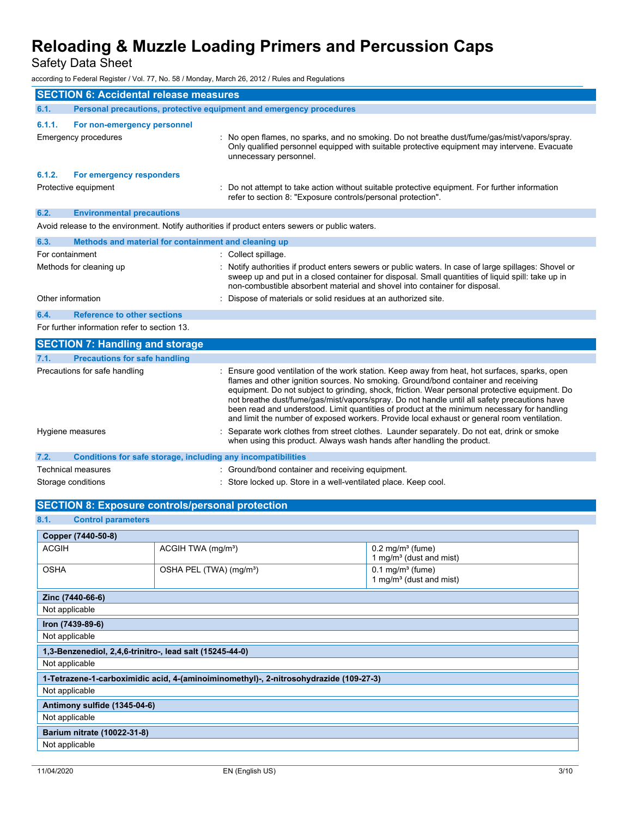Safety Data Sheet

according to Federal Register / Vol. 77, No. 58 / Monday, March 26, 2012 / Rules and Regulations

| <b>SECTION 6: Accidental release measures</b>           |                                                                        |                                                                                                 |                                                                                                                                                                                                                                                                                                                                                                                                                                                                                                                                                                                                                                                                                   |  |
|---------------------------------------------------------|------------------------------------------------------------------------|-------------------------------------------------------------------------------------------------|-----------------------------------------------------------------------------------------------------------------------------------------------------------------------------------------------------------------------------------------------------------------------------------------------------------------------------------------------------------------------------------------------------------------------------------------------------------------------------------------------------------------------------------------------------------------------------------------------------------------------------------------------------------------------------------|--|
| 6.1.                                                    | Personal precautions, protective equipment and emergency procedures    |                                                                                                 |                                                                                                                                                                                                                                                                                                                                                                                                                                                                                                                                                                                                                                                                                   |  |
| 6.1.1.                                                  | For non-emergency personnel                                            |                                                                                                 |                                                                                                                                                                                                                                                                                                                                                                                                                                                                                                                                                                                                                                                                                   |  |
|                                                         | Emergency procedures                                                   | unnecessary personnel.                                                                          | : No open flames, no sparks, and no smoking. Do not breathe dust/fume/gas/mist/vapors/spray.<br>Only qualified personnel equipped with suitable protective equipment may intervene. Evacuate                                                                                                                                                                                                                                                                                                                                                                                                                                                                                      |  |
| 6.1.2.                                                  | For emergency responders                                               |                                                                                                 |                                                                                                                                                                                                                                                                                                                                                                                                                                                                                                                                                                                                                                                                                   |  |
|                                                         | Protective equipment                                                   |                                                                                                 | Do not attempt to take action without suitable protective equipment. For further information<br>refer to section 8: "Exposure controls/personal protection".                                                                                                                                                                                                                                                                                                                                                                                                                                                                                                                      |  |
| 6.2.                                                    | <b>Environmental precautions</b>                                       |                                                                                                 |                                                                                                                                                                                                                                                                                                                                                                                                                                                                                                                                                                                                                                                                                   |  |
|                                                         |                                                                        | Avoid release to the environment. Notify authorities if product enters sewers or public waters. |                                                                                                                                                                                                                                                                                                                                                                                                                                                                                                                                                                                                                                                                                   |  |
| 6.3.                                                    |                                                                        | Methods and material for containment and cleaning up                                            |                                                                                                                                                                                                                                                                                                                                                                                                                                                                                                                                                                                                                                                                                   |  |
|                                                         | For containment                                                        | : Collect spillage.                                                                             |                                                                                                                                                                                                                                                                                                                                                                                                                                                                                                                                                                                                                                                                                   |  |
|                                                         | Methods for cleaning up                                                |                                                                                                 | : Notify authorities if product enters sewers or public waters. In case of large spillages: Shovel or<br>sweep up and put in a closed container for disposal. Small quantities of liquid spill: take up in<br>non-combustible absorbent material and shovel into container for disposal.                                                                                                                                                                                                                                                                                                                                                                                          |  |
|                                                         | Other information                                                      |                                                                                                 | Dispose of materials or solid residues at an authorized site.                                                                                                                                                                                                                                                                                                                                                                                                                                                                                                                                                                                                                     |  |
| 6.4.                                                    | <b>Reference to other sections</b>                                     |                                                                                                 |                                                                                                                                                                                                                                                                                                                                                                                                                                                                                                                                                                                                                                                                                   |  |
|                                                         | For further information refer to section 13.                           |                                                                                                 |                                                                                                                                                                                                                                                                                                                                                                                                                                                                                                                                                                                                                                                                                   |  |
|                                                         | <b>SECTION 7: Handling and storage</b>                                 |                                                                                                 |                                                                                                                                                                                                                                                                                                                                                                                                                                                                                                                                                                                                                                                                                   |  |
| 7.1.                                                    | <b>Precautions for safe handling</b>                                   |                                                                                                 |                                                                                                                                                                                                                                                                                                                                                                                                                                                                                                                                                                                                                                                                                   |  |
| Precautions for safe handling<br>Hygiene measures       |                                                                        |                                                                                                 | : Ensure good ventilation of the work station. Keep away from heat, hot surfaces, sparks, open<br>flames and other ignition sources. No smoking. Ground/bond container and receiving<br>equipment. Do not subject to grinding, shock, friction. Wear personal protective equipment. Do<br>not breathe dust/fume/gas/mist/vapors/spray. Do not handle until all safety precautions have<br>been read and understood. Limit quantities of product at the minimum necessary for handling<br>and limit the number of exposed workers. Provide local exhaust or general room ventilation.<br>Separate work clothes from street clothes. Launder separately. Do not eat, drink or smoke |  |
|                                                         | when using this product. Always wash hands after handling the product. |                                                                                                 |                                                                                                                                                                                                                                                                                                                                                                                                                                                                                                                                                                                                                                                                                   |  |
| 7.2.                                                    | Conditions for safe storage, including any incompatibilities           |                                                                                                 |                                                                                                                                                                                                                                                                                                                                                                                                                                                                                                                                                                                                                                                                                   |  |
|                                                         | <b>Technical measures</b>                                              |                                                                                                 | : Ground/bond container and receiving equipment.                                                                                                                                                                                                                                                                                                                                                                                                                                                                                                                                                                                                                                  |  |
|                                                         | Storage conditions                                                     |                                                                                                 | : Store locked up. Store in a well-ventilated place. Keep cool.                                                                                                                                                                                                                                                                                                                                                                                                                                                                                                                                                                                                                   |  |
| <b>SECTION 8: Exposure controls/personal protection</b> |                                                                        |                                                                                                 |                                                                                                                                                                                                                                                                                                                                                                                                                                                                                                                                                                                                                                                                                   |  |
| 8.1.<br><b>Control parameters</b>                       |                                                                        |                                                                                                 |                                                                                                                                                                                                                                                                                                                                                                                                                                                                                                                                                                                                                                                                                   |  |
| Copper (7440-50-8)                                      |                                                                        |                                                                                                 |                                                                                                                                                                                                                                                                                                                                                                                                                                                                                                                                                                                                                                                                                   |  |
| <b>ACGIH</b>                                            |                                                                        | ACGIH TWA (mg/m <sup>3</sup> )                                                                  | $0.2$ mg/m <sup>3</sup> (fume)                                                                                                                                                                                                                                                                                                                                                                                                                                                                                                                                                                                                                                                    |  |
|                                                         |                                                                        |                                                                                                 | 1 mg/m <sup>3</sup> (dust and mist)                                                                                                                                                                                                                                                                                                                                                                                                                                                                                                                                                                                                                                               |  |
| <b>OSHA</b><br>OSHA PEL (TWA) (mg/m <sup>3</sup> )      |                                                                        |                                                                                                 | $0.1$ mg/m <sup>3</sup> (fume)                                                                                                                                                                                                                                                                                                                                                                                                                                                                                                                                                                                                                                                    |  |

| Not applicable                                                                        |
|---------------------------------------------------------------------------------------|
| Iron (7439-89-6)                                                                      |
| Not applicable                                                                        |
| 1,3-Benzenediol, 2,4,6-trinitro-, lead salt (15245-44-0)                              |
| Not applicable                                                                        |
| 1-Tetrazene-1-carboximidic acid, 4-(aminoiminomethyl)-, 2-nitrosohydrazide (109-27-3) |
| Not applicable                                                                        |
| Antimony sulfide (1345-04-6)                                                          |
| Not applicable                                                                        |
| Barium nitrate (10022-31-8)                                                           |

**Barium nitrate (10022-31-8)** Not applicable

**Zinc (7440-66-6)**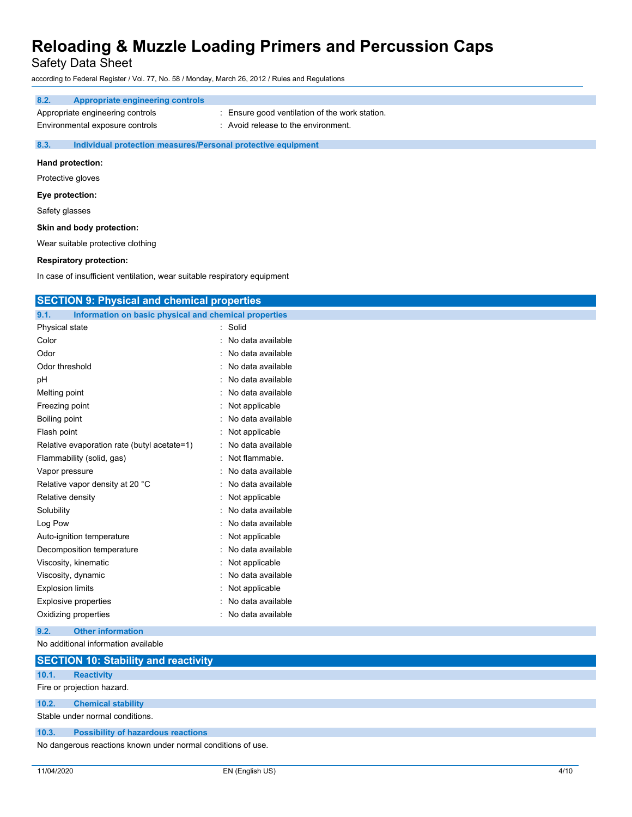Safety Data Sheet

according to Federal Register / Vol. 77, No. 58 / Monday, March 26, 2012 / Rules and Regulations

| 8.2.                                                                 | <b>Appropriate engineering controls</b> |                                                |
|----------------------------------------------------------------------|-----------------------------------------|------------------------------------------------|
|                                                                      | Appropriate engineering controls        | : Ensure good ventilation of the work station. |
|                                                                      | Environmental exposure controls         | : Avoid release to the environment.            |
| 8.3.<br>Individual protection measures/Personal protective equipment |                                         |                                                |
| Hand protection:                                                     |                                         |                                                |

Protective gloves

**Eye protection:**

Safety glasses

### **Skin and body protection:**

Wear suitable protective clothing

# **Respiratory protection:**

In case of insufficient ventilation, wear suitable respiratory equipment

| <b>SECTION 9: Physical and chemical properties</b>            |                   |  |
|---------------------------------------------------------------|-------------------|--|
| Information on basic physical and chemical properties<br>9.1. |                   |  |
| Physical state                                                | Solid             |  |
| Color                                                         | No data available |  |
| Odor                                                          | No data available |  |
| Odor threshold                                                | No data available |  |
| pH                                                            | No data available |  |
| Melting point                                                 | No data available |  |
| Freezing point                                                | Not applicable    |  |
| Boiling point                                                 | No data available |  |
| Flash point                                                   | Not applicable    |  |
| Relative evaporation rate (butyl acetate=1)                   | No data available |  |
| Flammability (solid, gas)                                     | Not flammable.    |  |
| Vapor pressure                                                | No data available |  |
| Relative vapor density at 20 °C                               | No data available |  |
| Relative density                                              | Not applicable    |  |
| Solubility                                                    | No data available |  |
| Log Pow                                                       | No data available |  |
| Auto-ignition temperature                                     | Not applicable    |  |
| Decomposition temperature                                     | No data available |  |
| Viscosity, kinematic                                          | Not applicable    |  |
| Viscosity, dynamic                                            | No data available |  |
| <b>Explosion limits</b>                                       | Not applicable    |  |
| <b>Explosive properties</b>                                   | No data available |  |
| Oxidizing properties                                          | No data available |  |
| 9.2.<br><b>Other information</b>                              |                   |  |
| No additional information available                           |                   |  |

|                                                              | <b>SECTION 10: Stability and reactivity</b> |  |
|--------------------------------------------------------------|---------------------------------------------|--|
| 10.1.                                                        | <b>Reactivity</b>                           |  |
|                                                              | Fire or projection hazard.                  |  |
| 10.2.                                                        | <b>Chemical stability</b>                   |  |
|                                                              | Stable under normal conditions.             |  |
| 10.3.                                                        | <b>Possibility of hazardous reactions</b>   |  |
| No dangerous reactions known under normal conditions of use. |                                             |  |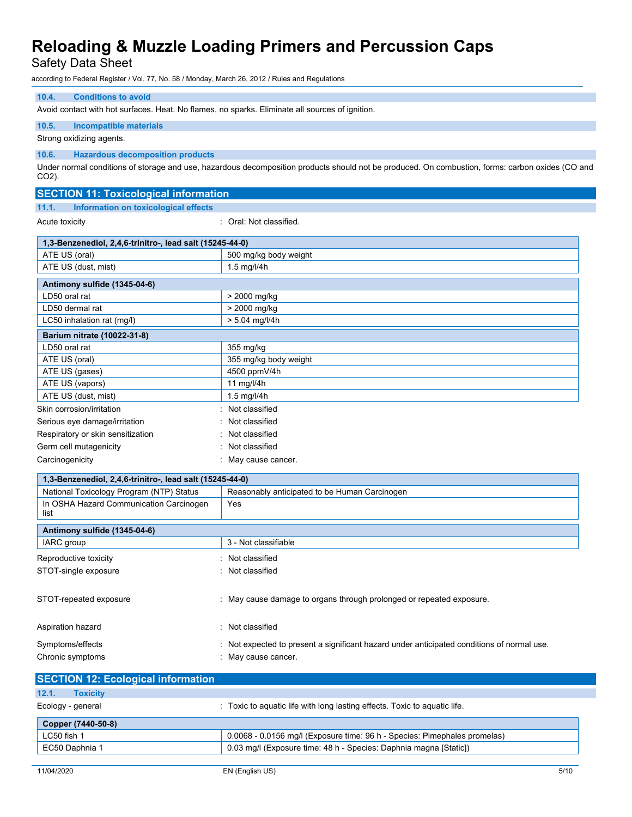Safety Data Sheet

according to Federal Register / Vol. 77, No. 58 / Monday, March 26, 2012 / Rules and Regulations

# **10.4. Conditions to avoid**

Avoid contact with hot surfaces. Heat. No flames, no sparks. Eliminate all sources of ignition.

### **10.5. Incompatible materials**

Strong oxidizing agents.

### **10.6. Hazardous decomposition products**

Under normal conditions of storage and use, hazardous decomposition products should not be produced. On combustion, forms: carbon oxides (CO and CO2).

# **SECTION 11: Toxicological information**

**11.1. Information on toxicological effects**

Acute toxicity **in the case of the Case of Case of the Case of Case of Case of the Case of Case of Case of Case of Case of Case of Case of Case of Case of Case of Case of Case of Case of Case of Case of Case of Case of Cas** 

| 1,3-Benzenediol, 2,4,6-trinitro-, lead salt (15245-44-0) |                       |  |
|----------------------------------------------------------|-----------------------|--|
| ATE US (oral)                                            | 500 mg/kg body weight |  |
| ATE US (dust, mist)                                      | $1.5$ mg/l/4h         |  |
|                                                          |                       |  |
| Antimony sulfide (1345-04-6)                             |                       |  |
| LD50 oral rat                                            | > 2000 mg/kg          |  |
| LD50 dermal rat                                          | > 2000 mg/kg          |  |
| LC50 inhalation rat (mg/l)                               | $> 5.04$ mg/l/4h      |  |
| Barium nitrate (10022-31-8)                              |                       |  |
| LD50 oral rat                                            | 355 mg/kg             |  |
| ATE US (oral)                                            | 355 mg/kg body weight |  |
| ATE US (gases)                                           | 4500 ppmV/4h          |  |
| ATE US (vapors)                                          | 11 mg/l/4h            |  |
| ATE US (dust, mist)                                      | 1.5 mg/l/4h           |  |
| Skin corrosion/irritation                                | : Not classified      |  |
| Serious eye damage/irritation                            | : Not classified      |  |
| Respiratory or skin sensitization                        | : Not classified      |  |
| Germ cell mutagenicity                                   | Not classified        |  |
| Carcinogenicity                                          | : May cause cancer.   |  |

| 1,3-Benzenediol, 2,4,6-trinitro-, lead salt (15245-44-0) |                                                                                                               |  |  |
|----------------------------------------------------------|---------------------------------------------------------------------------------------------------------------|--|--|
| National Toxicology Program (NTP) Status                 | Reasonably anticipated to be Human Carcinogen                                                                 |  |  |
| In OSHA Hazard Communication Carcinogen<br>list          | Yes                                                                                                           |  |  |
| Antimony sulfide (1345-04-6)                             |                                                                                                               |  |  |
| IARC group                                               | 3 - Not classifiable                                                                                          |  |  |
| Reproductive toxicity                                    | : Not classified                                                                                              |  |  |
| STOT-single exposure                                     | : Not classified                                                                                              |  |  |
| STOT-repeated exposure                                   | : May cause damage to organs through prolonged or repeated exposure.                                          |  |  |
| Aspiration hazard                                        | : Not classified                                                                                              |  |  |
| Symptoms/effects<br>Chronic symptoms                     | Not expected to present a significant hazard under anticipated conditions of normal use.<br>May cause cancer. |  |  |

| <b>SECTION 12: Ecological information</b>                                 |
|---------------------------------------------------------------------------|
|                                                                           |
| : Toxic to aguatic life with long lasting effects. Toxic to aguatic life. |
|                                                                           |
| 0.0068 - 0.0156 mg/l (Exposure time: 96 h - Species: Pimephales promelas) |
| 0.03 mg/l (Exposure time: 48 h - Species: Daphnia magna [Static])         |
|                                                                           |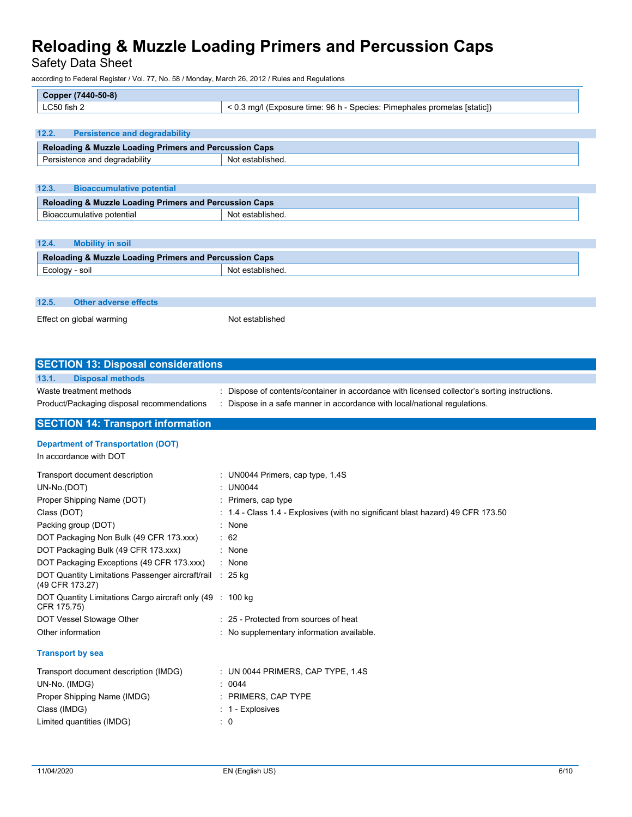Safety Data Sheet

according to Federal Register / Vol. 77, No. 58 / Monday, March 26, 2012 / Rules and Regulations

| $(7440 - 50 - 8)$<br>Copper, |                                                                               |
|------------------------------|-------------------------------------------------------------------------------|
| LC50 fish 2                  | 96 h<br>· Pimephales promelas [static])<br>Species:<br>(Exposure time:<br>. . |

# **12.2. Persistence and degradability Reloading & Muzzle Loading Primers and Percussion Caps**  Persistence and degradability Not established.

| 12.3. | <b>Bioaccumulative potential</b>                                  |                  |  |
|-------|-------------------------------------------------------------------|------------------|--|
|       | <b>Reloading &amp; Muzzle Loading Primers and Percussion Caps</b> |                  |  |
|       | Bioaccumulative potential                                         | Not established. |  |

### **12.4. Mobility in soil**

| <b>Reloading &amp; Muzzle Loading Primers and Percussion Caps</b> |     |
|-------------------------------------------------------------------|-----|
| Ecology - soil                                                    | Not |
|                                                                   |     |

| 12.5. | Other adverse effects    |                 |
|-------|--------------------------|-----------------|
|       | Effect on global warming | Not established |

| <b>SECTION 13: Disposal considerations</b>               |                                                                                               |
|----------------------------------------------------------|-----------------------------------------------------------------------------------------------|
| <b>Disposal methods</b><br>13.1.                         |                                                                                               |
| Waste treatment methods                                  | : Dispose of contents/container in accordance with licensed collector's sorting instructions. |
| Product/Packaging disposal recommendations               | : Dispose in a safe manner in accordance with local/national regulations.                     |
| <b>SECTION 14: Transport information</b>                 |                                                                                               |
| <b>Department of Transportation (DOT)</b>                |                                                                                               |
| In accordance with DOT                                   |                                                                                               |
| Transport document description                           | : UN0044 Primers, cap type, 1.4S                                                              |
| UN-No.(DOT)                                              | : UN0044                                                                                      |
| Proper Shipping Name (DOT)                               | : Primers, cap type                                                                           |
| Class (DOT)                                              | $\div$ 1.4 - Class 1.4 - Explosives (with no significant blast hazard) 49 CFR 173.50          |
| Packing group (DOT)                                      | : None                                                                                        |
| DOT Packaging Non Bulk (49 CFR 173.xxx)                  | $\therefore$ 62                                                                               |
| DOT Packaging Bulk (49 CFR 173.xxx)                      | $:$ None                                                                                      |
| DOT Packaging Exceptions (49 CFR 173.xxx)                | : None                                                                                        |
| DOT Quantity Limitations Passenger aircraft/rail : 25 kg |                                                                                               |

| (49 CFR 173.27)                                                           |                                           |
|---------------------------------------------------------------------------|-------------------------------------------|
| DOT Quantity Limitations Cargo aircraft only (49 : 100 kg)<br>CFR 175.75) |                                           |
| DOT Vessel Stowage Other                                                  | : 25 - Protected from sources of heat     |
| Other information                                                         | : No supplementary information available. |
| <b>Tranenort</b> by eag                                                   |                                           |

### **Transport by sea**

| Transport document description (IMDG) | : UN 0044 PRIMERS, CAP TYPE, $1.4S$ |
|---------------------------------------|-------------------------------------|
| UN-No. (IMDG)                         | : 0044                              |
| Proper Shipping Name (IMDG)           | $\therefore$ PRIMERS, CAP TYPE      |
| Class (IMDG)                          | $: 1 -$ Explosives                  |
| Limited quantities (IMDG)             | : 0                                 |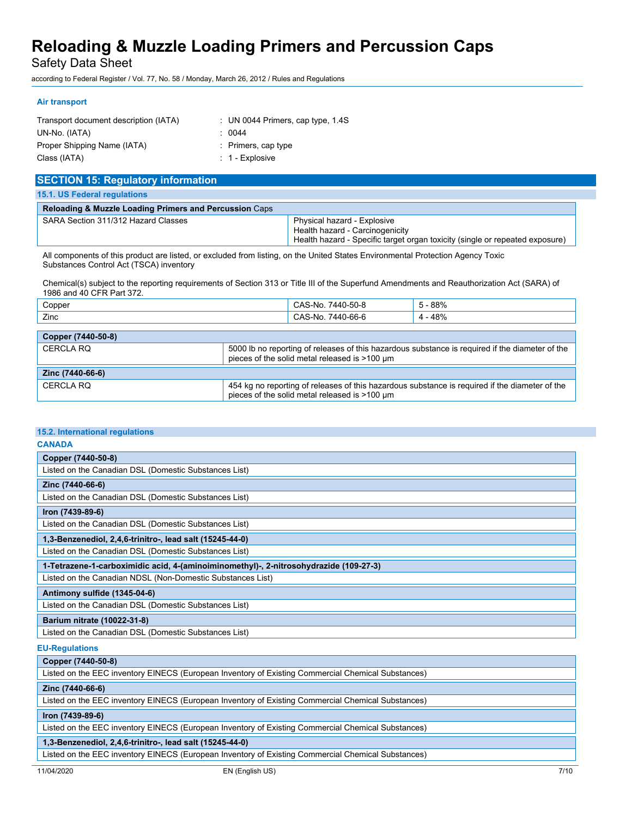Safety Data Sheet

according to Federal Register / Vol. 77, No. 58 / Monday, March 26, 2012 / Rules and Regulations

### **Air transport**

| Transport document description (IATA) | : UN 0044 Primers, cap type, $1.4S$ |
|---------------------------------------|-------------------------------------|
| UN-No. (IATA)                         | : 0044                              |
| Proper Shipping Name (IATA)           | $:$ Primers, cap type               |
| Class (IATA)                          | $: 1 -$ Explosive                   |

| <b>SECTION 15: Regulatory information</b>                         |                                                                                                                                                |  |
|-------------------------------------------------------------------|------------------------------------------------------------------------------------------------------------------------------------------------|--|
| <b>15.1. US Federal regulations</b>                               |                                                                                                                                                |  |
| <b>Reloading &amp; Muzzle Loading Primers and Percussion Caps</b> |                                                                                                                                                |  |
| SARA Section 311/312 Hazard Classes                               | Physical hazard - Explosive<br>Health hazard - Carcinogenicity<br>Health hazard - Specific target organ toxicity (single or repeated exposure) |  |

All components of this product are listed, or excluded from listing, on the United States Environmental Protection Agency Toxic Substances Control Act (TSCA) inventory

Chemical(s) subject to the reporting requirements of Section 313 or Title III of the Superfund Amendments and Reauthorization Act (SARA) of 1986 and 40 CFR Part 372.

| Copper | 7440-50-6<br>$\cap \Lambda$<br>-No<br>UAC | 88%               |
|--------|-------------------------------------------|-------------------|
| Zinc   | 7440-66-6<br>ົ^.<br>-Nc<br>◡<br>.         | 48%<br>$\sqrt{ }$ |

| Copper (7440-50-8) |                                                                                                                                                  |  |
|--------------------|--------------------------------------------------------------------------------------------------------------------------------------------------|--|
| CERCLA RO          | 5000 lb no reporting of releases of this hazardous substance is required if the diameter of the<br>pieces of the solid metal released is >100 um |  |
|                    |                                                                                                                                                  |  |
| Zinc (7440-66-6)   |                                                                                                                                                  |  |

# **15.2. International regulations**

| <b>CANADA</b>                                                                         |
|---------------------------------------------------------------------------------------|
| Copper (7440-50-8)                                                                    |
| Listed on the Canadian DSL (Domestic Substances List)                                 |
| Zinc (7440-66-6)                                                                      |
| Listed on the Canadian DSL (Domestic Substances List)                                 |
| Iron (7439-89-6)                                                                      |
| Listed on the Canadian DSL (Domestic Substances List)                                 |
| 1,3-Benzenediol, 2,4,6-trinitro-, lead salt (15245-44-0)                              |
| Listed on the Canadian DSL (Domestic Substances List)                                 |
| 1-Tetrazene-1-carboximidic acid, 4-(aminoiminomethyl)-, 2-nitrosohydrazide (109-27-3) |
| Listed on the Canadian NDSL (Non-Domestic Substances List)                            |
| Antimony sulfide (1345-04-6)                                                          |
| Listed on the Canadian DSL (Domestic Substances List)                                 |
| Barium nitrate (10022-31-8)                                                           |
| Listed on the Canadian DSL (Domestic Substances List)                                 |
| <b>EU-Regulations</b>                                                                 |
| Copper (7440-50-8)                                                                    |

Listed on the EEC inventory EINECS (European Inventory of Existing Commercial Chemical Substances)

### **Zinc (7440-66-6)**

Listed on the EEC inventory EINECS (European Inventory of Existing Commercial Chemical Substances)

#### **Iron (7439-89-6)**

Listed on the EEC inventory EINECS (European Inventory of Existing Commercial Chemical Substances)

### **1,3-Benzenediol, 2,4,6-trinitro-, lead salt (15245-44-0)**

Listed on the EEC inventory EINECS (European Inventory of Existing Commercial Chemical Substances)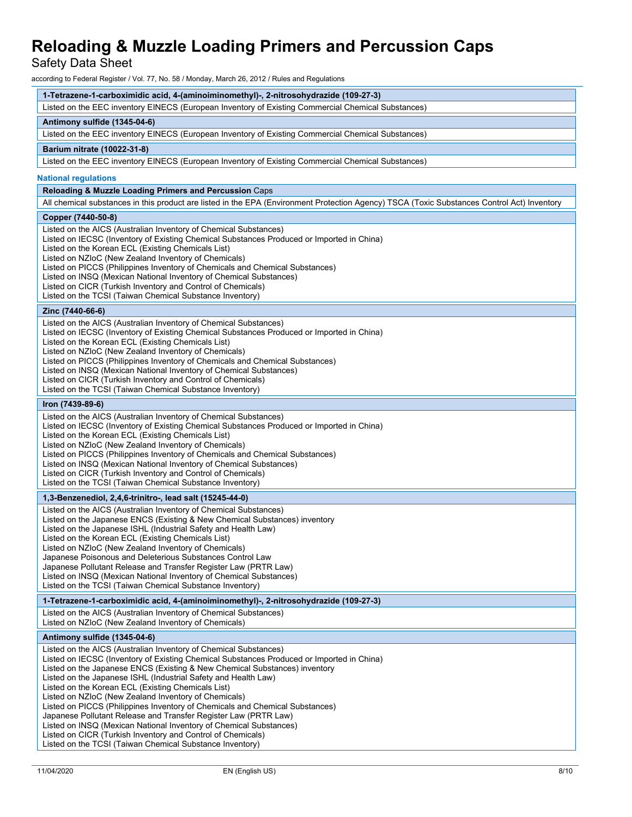Safety Data Sheet

according to Federal Register / Vol. 77, No. 58 / Monday, March 26, 2012 / Rules and Regulations

| 1-Tetrazene-1-carboximidic acid, 4-(aminoiminomethyl)-, 2-nitrosohydrazide (109-27-3) |  |
|---------------------------------------------------------------------------------------|--|
|                                                                                       |  |

Listed on the EEC inventory EINECS (European Inventory of Existing Commercial Chemical Substances)

### **Antimony sulfide (1345-04-6)**

Listed on the EEC inventory EINECS (European Inventory of Existing Commercial Chemical Substances)

#### **Barium nitrate (10022-31-8)**

Listed on the EEC inventory EINECS (European Inventory of Existing Commercial Chemical Substances)

#### **National regulations**

#### **Reloading & Muzzle Loading Primers and Percussion** Caps

All chemical substances in this product are listed in the EPA (Environment Protection Agency) TSCA (Toxic Substances Control Act) Inventory

#### **Copper (7440-50-8)**

Listed on the AICS (Australian Inventory of Chemical Substances) Listed on IECSC (Inventory of Existing Chemical Substances Produced or Imported in China) Listed on the Korean ECL (Existing Chemicals List) Listed on NZIoC (New Zealand Inventory of Chemicals) Listed on PICCS (Philippines Inventory of Chemicals and Chemical Substances) Listed on INSQ (Mexican National Inventory of Chemical Substances) Listed on CICR (Turkish Inventory and Control of Chemicals) Listed on the TCSI (Taiwan Chemical Substance Inventory)

#### **Zinc (7440-66-6)**

Listed on the AICS (Australian Inventory of Chemical Substances) Listed on IECSC (Inventory of Existing Chemical Substances Produced or Imported in China) Listed on the Korean ECL (Existing Chemicals List) Listed on NZIoC (New Zealand Inventory of Chemicals) Listed on PICCS (Philippines Inventory of Chemicals and Chemical Substances) Listed on INSQ (Mexican National Inventory of Chemical Substances) Listed on CICR (Turkish Inventory and Control of Chemicals) Listed on the TCSI (Taiwan Chemical Substance Inventory)

# **Iron (7439-89-6)**

Listed on the AICS (Australian Inventory of Chemical Substances) Listed on IECSC (Inventory of Existing Chemical Substances Produced or Imported in China) Listed on the Korean ECL (Existing Chemicals List) Listed on NZIoC (New Zealand Inventory of Chemicals) Listed on PICCS (Philippines Inventory of Chemicals and Chemical Substances) Listed on INSQ (Mexican National Inventory of Chemical Substances) Listed on CICR (Turkish Inventory and Control of Chemicals) Listed on the TCSI (Taiwan Chemical Substance Inventory)

#### **1,3-Benzenediol, 2,4,6-trinitro-, lead salt (15245-44-0)**

Listed on the AICS (Australian Inventory of Chemical Substances) Listed on the Japanese ENCS (Existing & New Chemical Substances) inventory Listed on the Japanese ISHL (Industrial Safety and Health Law) Listed on the Korean ECL (Existing Chemicals List) Listed on NZIoC (New Zealand Inventory of Chemicals) Japanese Poisonous and Deleterious Substances Control Law Japanese Pollutant Release and Transfer Register Law (PRTR Law) Listed on INSQ (Mexican National Inventory of Chemical Substances) Listed on the TCSI (Taiwan Chemical Substance Inventory)

**1-Tetrazene-1-carboximidic acid, 4-(aminoiminomethyl)-, 2-nitrosohydrazide (109-27-3)**

Listed on the AICS (Australian Inventory of Chemical Substances) Listed on NZIoC (New Zealand Inventory of Chemicals)

#### **Antimony sulfide (1345-04-6)**

Listed on the AICS (Australian Inventory of Chemical Substances) Listed on IECSC (Inventory of Existing Chemical Substances Produced or Imported in China) Listed on the Japanese ENCS (Existing & New Chemical Substances) inventory Listed on the Japanese ISHL (Industrial Safety and Health Law) Listed on the Korean ECL (Existing Chemicals List) Listed on NZIoC (New Zealand Inventory of Chemicals) Listed on PICCS (Philippines Inventory of Chemicals and Chemical Substances) Japanese Pollutant Release and Transfer Register Law (PRTR Law) Listed on INSQ (Mexican National Inventory of Chemical Substances) Listed on CICR (Turkish Inventory and Control of Chemicals) Listed on the TCSI (Taiwan Chemical Substance Inventory)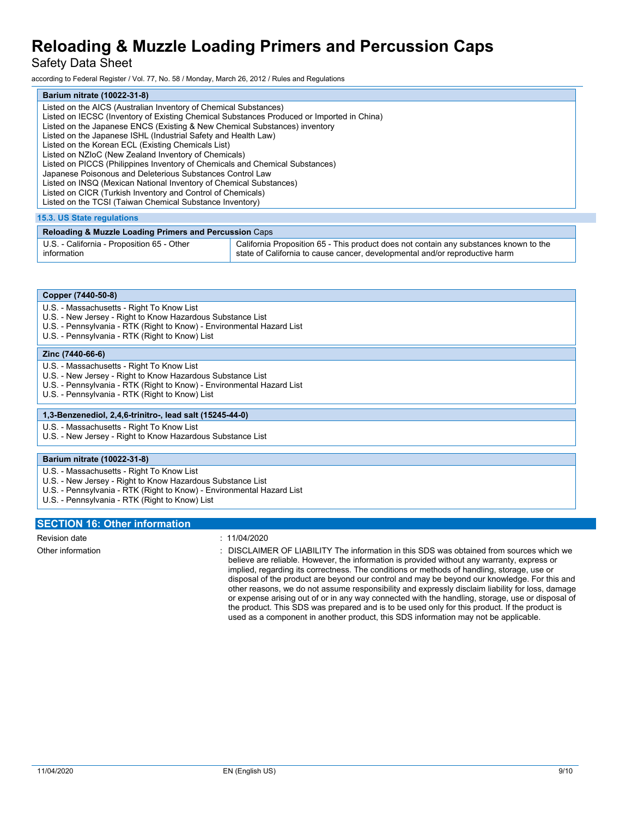Safety Data Sheet

according to Federal Register / Vol. 77, No. 58 / Monday, March 26, 2012 / Rules and Regulations

| Barium nitrate (10022-31-8)                                                               |
|-------------------------------------------------------------------------------------------|
| Listed on the AICS (Australian Inventory of Chemical Substances)                          |
| Listed on IECSC (Inventory of Existing Chemical Substances Produced or Imported in China) |
| Listed on the Japanese ENCS (Existing & New Chemical Substances) inventory                |
| Listed on the Japanese ISHL (Industrial Safety and Health Law)                            |
| Listed on the Korean ECL (Existing Chemicals List)                                        |
| Listed on NZIoC (New Zealand Inventory of Chemicals)                                      |
| Listed on PICCS (Philippines Inventory of Chemicals and Chemical Substances)              |
| Japanese Poisonous and Deleterious Substances Control Law                                 |
| Listed on INSQ (Mexican National Inventory of Chemical Substances)                        |
| Listed on CICR (Turkish Inventory and Control of Chemicals)                               |
| Listed on the TCSI (Taiwan Chemical Substance Inventory)                                  |
| <b>15.3. US State regulations</b>                                                         |

| <b>Reloading &amp; Muzzle Loading Primers and Percussion Caps</b> |                                                                                       |  |
|-------------------------------------------------------------------|---------------------------------------------------------------------------------------|--|
| U.S. - California - Proposition 65 - Other                        | California Proposition 65 - This product does not contain any substances known to the |  |
| information                                                       | state of California to cause cancer, developmental and/or reproductive harm           |  |

|  | Copper (7440-50-8) |
|--|--------------------|
|--|--------------------|

- U.S. Massachusetts Right To Know List
- U.S. New Jersey Right to Know Hazardous Substance List
- U.S. Pennsylvania RTK (Right to Know) Environmental Hazard List
- U.S. Pennsylvania RTK (Right to Know) List

#### **Zinc (7440-66-6)**

- U.S. Massachusetts Right To Know List
- U.S. New Jersey Right to Know Hazardous Substance List
- U.S. Pennsylvania RTK (Right to Know) Environmental Hazard List
- U.S. Pennsylvania RTK (Right to Know) List

### **1,3-Benzenediol, 2,4,6-trinitro-, lead salt (15245-44-0)**

U.S. - Massachusetts - Right To Know List

U.S. - New Jersey - Right to Know Hazardous Substance List

### **Barium nitrate (10022-31-8)**

- U.S. Massachusetts Right To Know List
- U.S. New Jersey Right to Know Hazardous Substance List
- U.S. Pennsylvania RTK (Right to Know) Environmental Hazard List
- U.S. Pennsylvania RTK (Right to Know) List

# **SECTION 16: Other information**

Revision date : 11/04/2020

Other information **interest in the information** in this SDS was obtained from sources which we believe are reliable. However, the information is provided without any warranty, express or implied, regarding its correctness. The conditions or methods of handling, storage, use or disposal of the product are beyond our control and may be beyond our knowledge. For this and other reasons, we do not assume responsibility and expressly disclaim liability for loss, damage or expense arising out of or in any way connected with the handling, storage, use or disposal of the product. This SDS was prepared and is to be used only for this product. If the product is used as a component in another product, this SDS information may not be applicable.